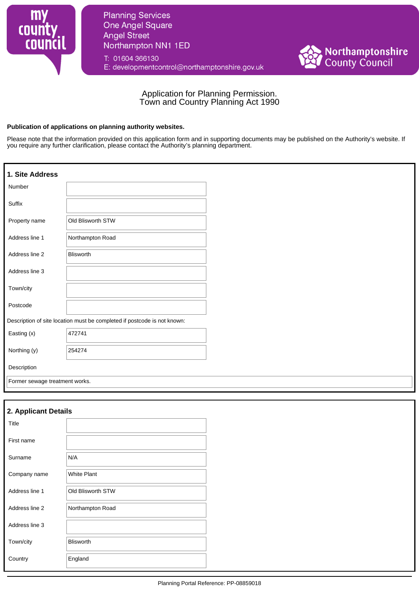

**Planning Services One Angel Square Angel Street** Northampton NN1 1ED

T: 01604 366130 E: developmentcontrol@northamptonshire.gov.uk



# Application for Planning Permission. Town and Country Planning Act 1990

#### **Publication of applications on planning authority websites.**

Please note that the information provided on this application form and in supporting documents may be published on the Authority's website. If you require any further clarification, please contact the Authority's planning department.

| 1. Site Address                |                                                                          |
|--------------------------------|--------------------------------------------------------------------------|
| Number                         |                                                                          |
| Suffix                         |                                                                          |
| Property name                  | Old Blisworth STW                                                        |
| Address line 1                 | Northampton Road                                                         |
| Address line 2                 | <b>Blisworth</b>                                                         |
| Address line 3                 |                                                                          |
| Town/city                      |                                                                          |
| Postcode                       |                                                                          |
|                                | Description of site location must be completed if postcode is not known: |
| Easting (x)                    | 472741                                                                   |
| Northing (y)                   | 254274                                                                   |
| Description                    |                                                                          |
| Former sewage treatment works. |                                                                          |

# **2. Applicant Details**

| Title          |                    |
|----------------|--------------------|
| First name     |                    |
| Surname        | N/A                |
| Company name   | <b>White Plant</b> |
| Address line 1 | Old Blisworth STW  |
| Address line 2 | Northampton Road   |
| Address line 3 |                    |
| Town/city      | <b>Blisworth</b>   |
| Country        | England            |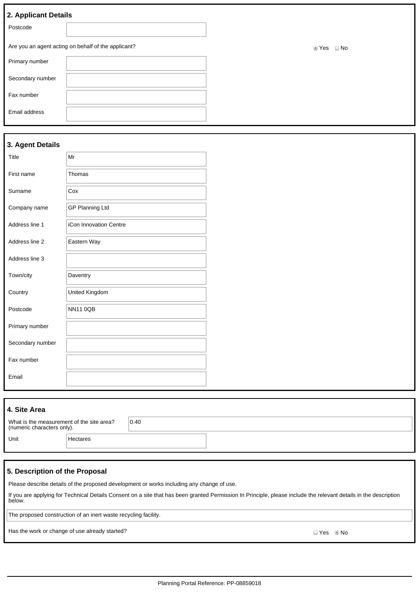| 2. Applicant Details                                |            |
|-----------------------------------------------------|------------|
| Postcode                                            |            |
| Are you an agent acting on behalf of the applicant? | ■ Yes © No |
| Primary number                                      |            |
| Secondary number                                    |            |
| Fax number                                          |            |
| Email address                                       |            |
|                                                     |            |

#### **3. Agent Details**

| Title            | Mr                     |
|------------------|------------------------|
| First name       | Thomas                 |
| Surname          | Cox                    |
| Company name     | <b>GP Planning Ltd</b> |
| Address line 1   | iCon Innovation Centre |
| Address line 2   | Eastern Way            |
| Address line 3   |                        |
| Town/city        | Daventry               |
| Country          | United Kingdom         |
| Postcode         | <b>NN11 0QB</b>        |
| Primary number   |                        |
| Secondary number |                        |
| Fax number       |                        |
| Email            |                        |
|                  |                        |

| 4. Site Area                                                            |          |      |  |  |
|-------------------------------------------------------------------------|----------|------|--|--|
| What is the measurement of the site area?<br>(numeric characters only). |          | 0.40 |  |  |
| Unit                                                                    | Hectares |      |  |  |

## **5. Description of the Proposal**

Please describe details of the proposed development or works including any change of use.

If you are applying for Technical Details Consent on a site that has been granted Permission In Principle, please include the relevant details in the description below.

The proposed construction of an inert waste recycling facility.

Has the work or change of use already started? No was also seen to the work of change of use already started?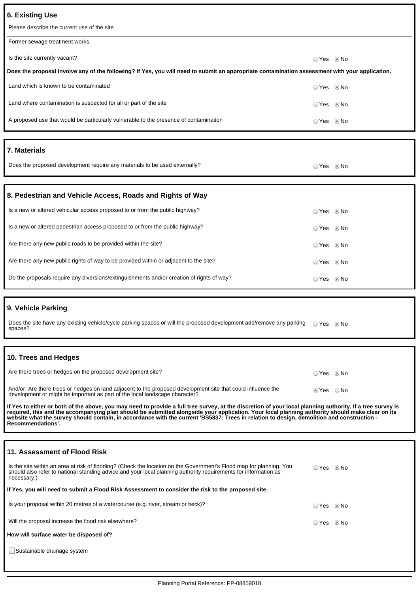## **6. Existing Use**

| 6. Existing Use                                                                                                                                |            |  |
|------------------------------------------------------------------------------------------------------------------------------------------------|------------|--|
| Please describe the current use of the site                                                                                                    |            |  |
| Former sewage treatment works.                                                                                                                 |            |  |
| Is the site currently vacant?                                                                                                                  | ○ Yes ◎ No |  |
| Does the proposal involve any of the following? If Yes, you will need to submit an appropriate contamination assessment with your application. |            |  |
| Land which is known to be contaminated                                                                                                         | ○ Yes ◎ No |  |
| Land where contamination is suspected for all or part of the site                                                                              | ○ Yes ◎ No |  |
| A proposed use that would be particularly vulnerable to the presence of contamination                                                          | ○ Yes ◎ No |  |
|                                                                                                                                                |            |  |
|                                                                                                                                                |            |  |
| 7. Materials                                                                                                                                   |            |  |
| Does the proposed development require any materials to be used externally?                                                                     | ○ Yes ◎ No |  |
|                                                                                                                                                |            |  |
| 8. Pedestrian and Vehicle Access, Roads and Rights of Way                                                                                      |            |  |
| Is a new or altered vehicular access proposed to or from the public highway?                                                                   | ○ Yes ◎ No |  |
| Is a new or altered pedestrian access proposed to or from the public highway?                                                                  | ○ Yes ◎ No |  |

Do the proposals require any diversions/extinguishments and/or creation of rights of way? <br>
O Yes No

## **9. Vehicle Parking**

Does the site have any existing vehicle/cycle parking spaces or will the proposed development add/remove any parking spaces? O Yes <sup>O</sup> No

Are there any new public rights of way to be provided within or adjacent to the site? <br>
O Yes No

## **10. Trees and Hedges**

| Are there trees or hedges on the proposed development site?                                                                                                                                 | ○ Yes ◎ No |      |
|---------------------------------------------------------------------------------------------------------------------------------------------------------------------------------------------|------------|------|
| And/or: Are there trees or hedges on land adjacent to the proposed development site that could influence the<br>development or might be important as part of the local landscape character? | t Yes ⊚    | ⊙ No |

If Yes to either or both of the above, you may need to provide a full tree survey, at the discretion of your local planning authority. If a tree survey is<br>required, this and the accompanying plan should be submitted alongs **Recommendations'.**

## **11. Assessment of Flood Risk**

| Is the site within an area at risk of flooding? (Check the location on the Government's Flood map for planning. You<br>should also refer to national standing advice and your local planning authority requirements for information as<br>necessary.) | ⊙ Yes … ® No |  |
|-------------------------------------------------------------------------------------------------------------------------------------------------------------------------------------------------------------------------------------------------------|--------------|--|
| If Yes, you will need to submit a Flood Risk Assessment to consider the risk to the proposed site.                                                                                                                                                    |              |  |
| Is your proposal within 20 metres of a watercourse (e.g. river, stream or beck)?                                                                                                                                                                      | ⊙ Yes … ® No |  |
| Will the proposal increase the flood risk elsewhere?                                                                                                                                                                                                  | ⊙ Yes … ® No |  |
| How will surface water be disposed of?                                                                                                                                                                                                                |              |  |
| Sustainable drainage system                                                                                                                                                                                                                           |              |  |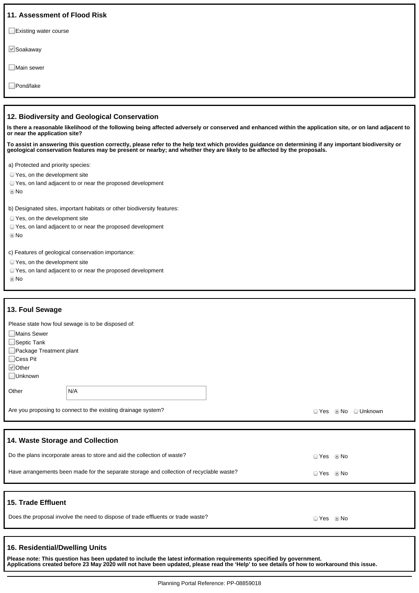| 11. Assessment of Flood Risk                                                                                                                                                                                                                                                     |
|----------------------------------------------------------------------------------------------------------------------------------------------------------------------------------------------------------------------------------------------------------------------------------|
| $\Box$ Existing water course                                                                                                                                                                                                                                                     |
| $\vee$ Soakaway                                                                                                                                                                                                                                                                  |
| Main sewer                                                                                                                                                                                                                                                                       |
| □ Pond/lake                                                                                                                                                                                                                                                                      |
|                                                                                                                                                                                                                                                                                  |
| 12. Biodiversity and Geological Conservation                                                                                                                                                                                                                                     |
| Is there a reasonable likelihood of the following being affected adversely or conserved and enhanced within the application site, or on land adjacent to<br>or near the application site?                                                                                        |
| To assist in answering this question correctly, please refer to the help text which provides guidance on determining if any important biodiversity or<br>geological conservation features may be present or nearby; and whether they are likely to be affected by the proposals. |
| a) Protected and priority species:                                                                                                                                                                                                                                               |
| ○ Yes, on the development site                                                                                                                                                                                                                                                   |
| ○ Yes, on land adjacent to or near the proposed development                                                                                                                                                                                                                      |
| © No                                                                                                                                                                                                                                                                             |

b) Designated sites, important habitats or other biodiversity features:

Yes, on the development site

Yes, on land adjacent to or near the proposed development

No

c) Features of geological conservation importance:

- Yes, on the development site
- Yes, on land adjacent to or near the proposed development

No

#### **13. Foul Sewage**

Please state how foul sewage is to be disposed of:

|                            | ີ                                                             |       |                   |
|----------------------------|---------------------------------------------------------------|-------|-------------------|
| Mains Sewer                |                                                               |       |                   |
| $\Box$ Septic Tank         |                                                               |       |                   |
| Package Treatment plant    |                                                               |       |                   |
| $\Box$ Cess Pit            |                                                               |       |                   |
| $\sqrt{\phantom{a}}$ Other |                                                               |       |                   |
| Unknown                    |                                                               |       |                   |
|                            |                                                               |       |                   |
| Other                      | N/A                                                           |       |                   |
|                            |                                                               |       |                   |
|                            | Are you proposing to connect to the existing drainage system? | ⊙ Yes | © No<br>O Unknown |

#### **14. Waste Storage and Collection**

| Do the plans incorporate areas to store and aid the collection of waste?                 |       | ⊙ Yes     ® No |
|------------------------------------------------------------------------------------------|-------|----------------|
| Have arrangements been made for the separate storage and collection of recyclable waste? |       | © Yes     ® No |
|                                                                                          |       |                |
| 15. Trade Effluent                                                                       |       |                |
| Does the proposal involve the need to dispose of trade effluents or trade waste?         | ○ Yes | © No           |

#### **16. Residential/Dwelling Units**

**Please note: This question has been updated to include the latest information requirements specified by government. Applications created before 23 May 2020 will not have been updated, please read the 'Help' to see details of how to workaround this issue.**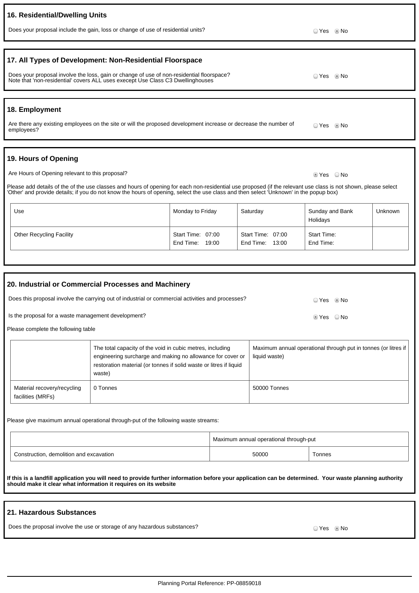#### Planning Portal Reference: PP-08859018

## **16. Residential/Dwelling Units**

# **17. All Types of Development: Non-Residential Floorspace**

Does your proposal involve the loss, gain or change of use of non-residential floorspace? Note that 'non-residential' covers ALL uses execept Use Class C3 Dwellinghouses

#### **18. Employment**

Are there any existing employees on the site or will the proposed development increase or decrease the number of employees? © Yes <sup></sup>No

Does your proposal include the gain, loss or change of use of residential units?<br>
O Yes No

## **19. Hours of Opening**

Are Hours of Opening relevant to this proposal? Are No will be a set of the No will be a set of No will be a set of No will be a set of No will be a set of No will be a set of No will be a set of No will be a set of No wil

Please add details of the of the use classes and hours of opening for each non-residential use proposed (if the relevant use class is not shown, please select 'Other' and provide details; if you do not know the hours of opening, select the use class and then select 'Unknown' in the popup box)

| Use                             | Monday to Friday                     | Saturday                                | Sunday and Bank<br>Holidays | Unknown |
|---------------------------------|--------------------------------------|-----------------------------------------|-----------------------------|---------|
| <b>Other Recycling Facility</b> | Start Time: 07:00<br>End Time: 19:00 | Start Time: 07:00<br>End Time:<br>13:00 | Start Time:<br>End Time:    |         |

| 20. Industrial or Commercial Processes and Machinery                                              |                                                  |                                                                                                                                                                                                         |                                                                                 |  |
|---------------------------------------------------------------------------------------------------|--------------------------------------------------|---------------------------------------------------------------------------------------------------------------------------------------------------------------------------------------------------------|---------------------------------------------------------------------------------|--|
| Does this proposal involve the carrying out of industrial or commercial activities and processes? |                                                  | O Yes . I No                                                                                                                                                                                            |                                                                                 |  |
| Is the proposal for a waste management development?                                               |                                                  | ie Yes ⊙No                                                                                                                                                                                              |                                                                                 |  |
|                                                                                                   | Please complete the following table              |                                                                                                                                                                                                         |                                                                                 |  |
|                                                                                                   |                                                  | The total capacity of the void in cubic metres, including<br>engineering surcharge and making no allowance for cover or<br>restoration material (or tonnes if solid waste or litres if liquid<br>waste) | Maximum annual operational through put in tonnes (or litres if<br>liquid waste) |  |
|                                                                                                   | Material recovery/recycling<br>facilities (MRFs) | 0 Tonnes                                                                                                                                                                                                | 50000 Tonnes                                                                    |  |

Please give maximum annual operational through-put of the following waste streams:

|                                         | Maximum annual operational through-put |        |  |
|-----------------------------------------|----------------------------------------|--------|--|
| Construction, demolition and excavation | 50000                                  | Tonnes |  |

**If this is a landfill application you will need to provide further information before your application can be determined. Your waste planning authority should make it clear what information it requires on its website**

## **21. Hazardous Substances**

Does the proposal involve the use or storage of any hazardous substances?  $\Box$  Yes No

O Yes <sup>O</sup> No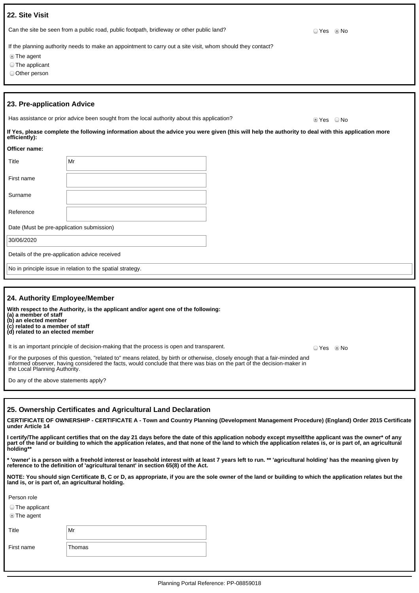| 22. Site Visit                                    |                                                                                                                                                    |  |            |      |
|---------------------------------------------------|----------------------------------------------------------------------------------------------------------------------------------------------------|--|------------|------|
|                                                   | Can the site be seen from a public road, public footpath, bridleway or other public land?                                                          |  | ○ Yes ◎ No |      |
| <b>The agent</b><br>The applicant<br>Other person | If the planning authority needs to make an appointment to carry out a site visit, whom should they contact?                                        |  |            |      |
| 23. Pre-application Advice                        | Has assistance or prior advice been sought from the local authority about this application?                                                        |  | ties ⊘     | ○ No |
| efficiently):                                     | If Yes, please complete the following information about the advice you were given (this will help the authority to deal with this application more |  |            |      |
| Officer name:                                     |                                                                                                                                                    |  |            |      |
| Title                                             | Mr                                                                                                                                                 |  |            |      |
| First name                                        |                                                                                                                                                    |  |            |      |
| Surname                                           |                                                                                                                                                    |  |            |      |
| Reference                                         |                                                                                                                                                    |  |            |      |
| Date (Must be pre-application submission)         |                                                                                                                                                    |  |            |      |
| 30/06/2020                                        |                                                                                                                                                    |  |            |      |

Details of the pre-application advice received

No in principle issue in relation to the spatial strategy.

| 24. Authority Employee/Member                                                                                                                                                                                                                                                           |       |      |
|-----------------------------------------------------------------------------------------------------------------------------------------------------------------------------------------------------------------------------------------------------------------------------------------|-------|------|
| With respect to the Authority, is the applicant and/or agent one of the following:<br>(a) a member of staff<br>(b) an elected member<br>(c) related to a member of staff<br>(d) related to an elected member                                                                            |       |      |
| It is an important principle of decision-making that the process is open and transparent.                                                                                                                                                                                               | ☉ Yes | © No |
| For the purposes of this question, "related to" means related, by birth or otherwise, closely enough that a fair-minded and<br>informed observer, having considered the facts, would conclude that there was bias on the part of the decision-maker in<br>the Local Planning Authority. |       |      |
| Do any of the above statements apply?                                                                                                                                                                                                                                                   |       |      |

#### **25. Ownership Certificates and Agricultural Land Declaration**

**CERTIFICATE OF OWNERSHIP - CERTIFICATE A - Town and Country Planning (Development Management Procedure) (England) Order 2015 Certificate under Article 14**

**I certify/The applicant certifies that on the day 21 days before the date of this application nobody except myself/the applicant was the owner\* of any part of the land or building to which the application relates, and that none of the land to which the application relates is, or is part of, an agricultural holding\*\***

**\* 'owner' is a person with a freehold interest or leasehold interest with at least 7 years left to run. \*\* 'agricultural holding' has the meaning given by reference to the definition of 'agricultural tenant' in section 65(8) of the Act.**

**NOTE: You should sign Certificate B, C or D, as appropriate, if you are the sole owner of the land or building to which the application relates but the land is, or is part of, an agricultural holding.**

Person role

The applicant

The agent

Title Mr

First name Thomas